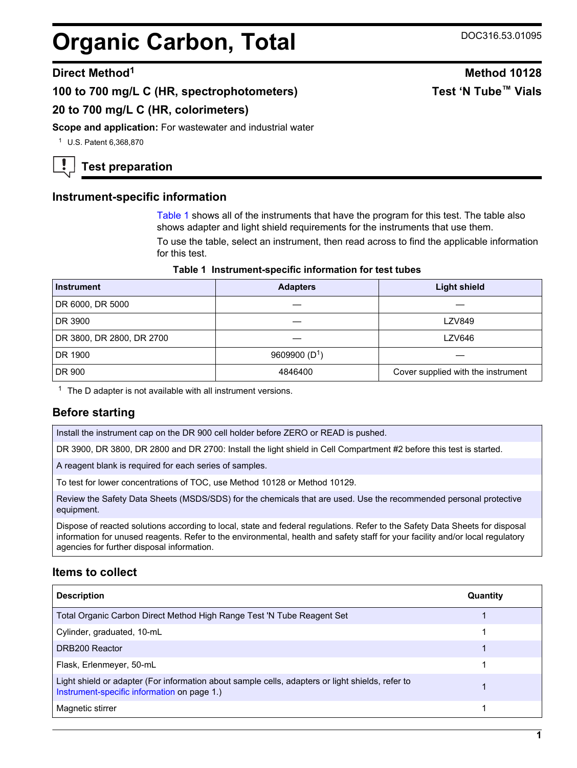# **Organic Carbon, Total** DOC316.53.01095

#### **Direct Method<sup>1</sup> Method 10128**

**100 to 700 mg/L C (HR, spectrophotometers)**

### **20 to 700 mg/L C (HR, colorimeters)**

**Scope and application:** For wastewater and industrial water

<sup>1</sup> U.S. Patent 6,368,870

## **Test preparation**

#### **Instrument-specific information**

[Table 1](#page-0-0) shows all of the instruments that have the program for this test. The table also shows adapter and light shield requirements for the instruments that use them.

To use the table, select an instrument, then read across to find the applicable information for this test.

#### **Table 1 Instrument-specific information for test tubes**

<span id="page-0-1"></span><span id="page-0-0"></span>

| <b>Instrument</b>         | <b>Adapters</b> | <b>Light shield</b>                |  |
|---------------------------|-----------------|------------------------------------|--|
| DR 6000, DR 5000          |                 |                                    |  |
| DR 3900                   |                 | <b>LZV849</b>                      |  |
| DR 3800, DR 2800, DR 2700 |                 | LZV646                             |  |
| DR 1900                   | 9609900 $(D1)$  |                                    |  |
| DR 900                    | 4846400         | Cover supplied with the instrument |  |

 $1$  The D adapter is not available with all instrument versions.

#### **Before starting**

Install the instrument cap on the DR 900 cell holder before ZERO or READ is pushed.

DR 3900, DR 3800, DR 2800 and DR 2700: Install the light shield in Cell Compartment #2 before this test is started.

A reagent blank is required for each series of samples.

To test for lower concentrations of TOC, use Method 10128 or Method 10129.

Review the Safety Data Sheets (MSDS/SDS) for the chemicals that are used. Use the recommended personal protective equipment.

Dispose of reacted solutions according to local, state and federal regulations. Refer to the Safety Data Sheets for disposal information for unused reagents. Refer to the environmental, health and safety staff for your facility and/or local regulatory agencies for further disposal information.

#### **Items to collect**

| <b>Description</b>                                                                                                                              | Quantity |
|-------------------------------------------------------------------------------------------------------------------------------------------------|----------|
| Total Organic Carbon Direct Method High Range Test 'N Tube Reagent Set                                                                          |          |
| Cylinder, graduated, 10-mL                                                                                                                      |          |
| DRB200 Reactor                                                                                                                                  |          |
| Flask, Erlenmeyer, 50-mL                                                                                                                        |          |
| Light shield or adapter (For information about sample cells, adapters or light shields, refer to<br>Instrument-specific information on page 1.) |          |
| Magnetic stirrer                                                                                                                                |          |

# **Test 'N Tube™ Vials**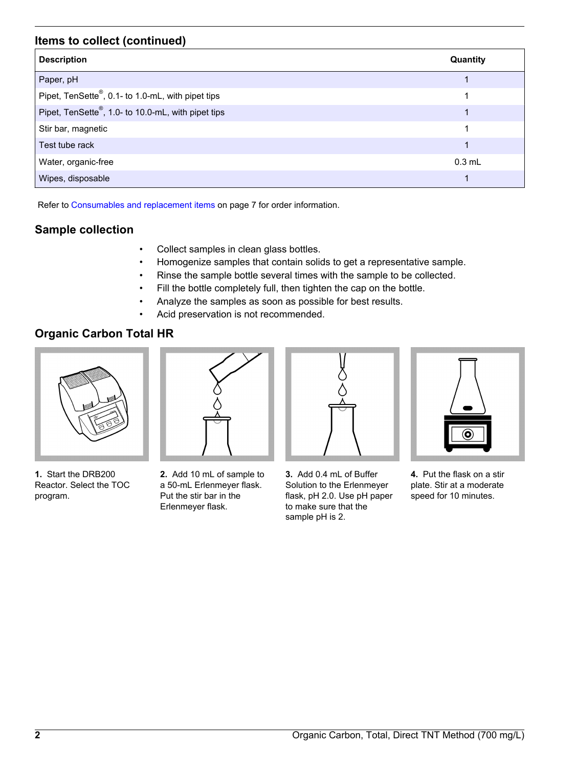### **Items to collect (continued)**

| <b>Description</b>                                 | Quantity |
|----------------------------------------------------|----------|
| Paper, pH                                          |          |
| Pipet, TenSette®, 0.1- to 1.0-mL, with pipet tips  |          |
| Pipet, TenSette®, 1.0- to 10.0-mL, with pipet tips | 1        |
| Stir bar, magnetic                                 |          |
| Test tube rack                                     |          |
| Water, organic-free                                | $0.3$ mL |
| Wipes, disposable                                  |          |

Refer to [Consumables and replacement items](#page-6-0) on page 7 for order information.

## **Sample collection**

- Collect samples in clean glass bottles.
- Homogenize samples that contain solids to get a representative sample.
- Rinse the sample bottle several times with the sample to be collected.
- Fill the bottle completely full, then tighten the cap on the bottle.
- Analyze the samples as soon as possible for best results.
- Acid preservation is not recommended.

## **Organic Carbon Total HR**



**1.** Start the DRB200 Reactor. Select the TOC program.



**2.** Add 10 mL of sample to a 50-mL Erlenmeyer flask. Put the stir bar in the Erlenmeyer flask.



**3.** Add 0.4 mL of Buffer Solution to the Erlenmeyer flask, pH 2.0. Use pH paper to make sure that the sample pH is 2.



**4.** Put the flask on a stir plate. Stir at a moderate speed for 10 minutes.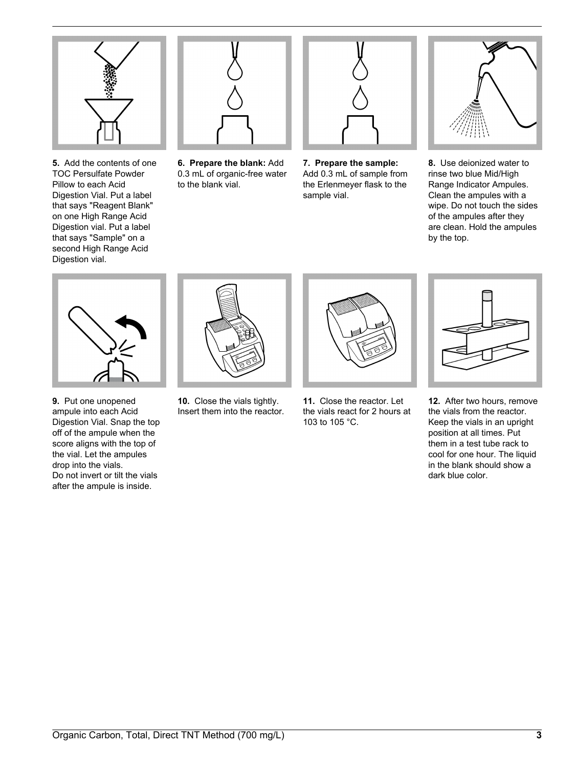

**5.** Add the contents of one TOC Persulfate Powder Pillow to each Acid Digestion Vial. Put a label that says "Reagent Blank" on one High Range Acid Digestion vial. Put a label that says "Sample" on a second High Range Acid Digestion vial.



**6. Prepare the blank:** Add 0.3 mL of organic-free water to the blank vial.



**7. Prepare the sample:** Add 0.3 mL of sample from the Erlenmeyer flask to the sample vial.



**8.** Use deionized water to rinse two blue Mid/High Range Indicator Ampules. Clean the ampules with a wipe. Do not touch the sides of the ampules after they are clean. Hold the ampules by the top.



**9.** Put one unopened ampule into each Acid Digestion Vial. Snap the top off of the ampule when the score aligns with the top of the vial. Let the ampules drop into the vials. Do not invert or tilt the vials after the ampule is inside.



**10.** Close the vials tightly. Insert them into the reactor.



**11.** Close the reactor. Let the vials react for 2 hours at 103 to 105 °C.



**12.** After two hours, remove the vials from the reactor. Keep the vials in an upright position at all times. Put them in a test tube rack to cool for one hour. The liquid in the blank should show a dark blue color.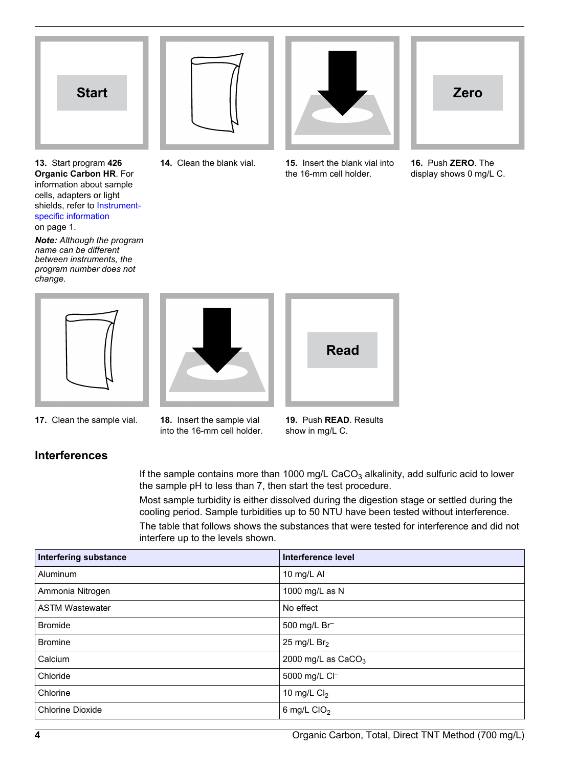

**13.** Start program **426 Organic Carbon HR**. For information about sample cells, adapters or light shields, refer to [Instrument](#page-0-1)[specific information](#page-0-1) on page 1.

*Note: Although the program name can be different between instruments, the program number does not change.*





**17.** Clean the sample vial. **18.** Insert the sample vial

**Interferences**

into the 16-mm cell holder.

**19.** Push **READ**. Results show in mg/L C.

If the sample contains more than 1000 mg/L CaCO<sub>3</sub> alkalinity, add sulfuric acid to lower the sample pH to less than 7, then start the test procedure.

Most sample turbidity is either dissolved during the digestion stage or settled during the cooling period. Sample turbidities up to 50 NTU have been tested without interference.

The table that follows shows the substances that were tested for interference and did not interfere up to the levels shown.

| <b>Interfering substance</b> | Interference level   |
|------------------------------|----------------------|
| Aluminum                     | 10 mg/L AI           |
| Ammonia Nitrogen             | 1000 mg/L as N       |
| <b>ASTM Wastewater</b>       | No effect            |
| <b>Bromide</b>               | 500 mg/L Br          |
| <b>Bromine</b>               | 25 mg/L $Br2$        |
| Calcium                      | 2000 mg/L as $CaCO3$ |
| Chloride                     | 5000 mg/L Cl-        |
| Chlorine                     | 10 mg/L $Cl2$        |
| <b>Chlorine Dioxide</b>      | 6 mg/L $ClO2$        |

**14.** Clean the blank vial. **15.** Insert the blank vial into the 16-mm cell holder.



**16.** Push **ZERO**. The display shows 0 mg/L C.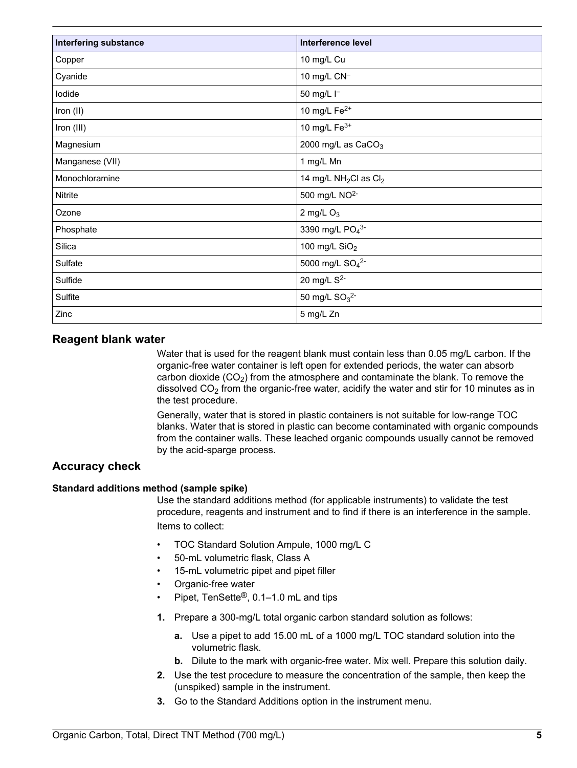| <b>Interfering substance</b> | <b>Interference level</b>                     |
|------------------------------|-----------------------------------------------|
| Copper                       | 10 mg/L Cu                                    |
| Cyanide                      | 10 mg/L CN <sup>-1</sup>                      |
| lodide                       | 50 mg/L I-                                    |
| Iron (II)                    | 10 mg/L $Fe2+$                                |
| Iron (III)                   | 10 mg/L $Fe3+$                                |
| Magnesium                    | 2000 mg/L as $CaCO3$                          |
| Manganese (VII)              | 1 mg/L Mn                                     |
| Monochloramine               | 14 mg/L NH <sub>2</sub> Cl as Cl <sub>2</sub> |
| Nitrite                      | 500 mg/L NO <sup>2-</sup>                     |
| Ozone                        | 2 mg/L $O_3$                                  |
| Phosphate                    | 3390 mg/L PO <sub>4</sub> 3-                  |
| Silica                       | 100 mg/L $SiO2$                               |
| Sulfate                      | 5000 mg/L SO <sub>4</sub> <sup>2-</sup>       |
| Sulfide                      | 20 mg/L S <sup>2-</sup>                       |
| Sulfite                      | 50 mg/L $SO_3^2$ -                            |
| Zinc                         | 5 mg/L Zn                                     |

#### **Reagent blank water**

Water that is used for the reagent blank must contain less than 0.05 mg/L carbon. If the organic-free water container is left open for extended periods, the water can absorb carbon dioxide  $(CO<sub>2</sub>)$  from the atmosphere and contaminate the blank. To remove the dissolved  $CO<sub>2</sub>$  from the organic-free water, acidify the water and stir for 10 minutes as in the test procedure.

Generally, water that is stored in plastic containers is not suitable for low-range TOC blanks. Water that is stored in plastic can become contaminated with organic compounds from the container walls. These leached organic compounds usually cannot be removed by the acid-sparge process.

### **Accuracy check**

#### **Standard additions method (sample spike)**

Use the standard additions method (for applicable instruments) to validate the test procedure, reagents and instrument and to find if there is an interference in the sample. Items to collect:

- TOC Standard Solution Ampule, 1000 mg/L C
- 50-mL volumetric flask, Class A
- 15-mL volumetric pipet and pipet filler
- Organic-free water
- Pipet, TenSette®, 0.1–1.0 mL and tips
- **1.** Prepare a 300-mg/L total organic carbon standard solution as follows:
	- **a.** Use a pipet to add 15.00 mL of a 1000 mg/L TOC standard solution into the volumetric flask.
	- **b.** Dilute to the mark with organic-free water. Mix well. Prepare this solution daily.
- **2.** Use the test procedure to measure the concentration of the sample, then keep the (unspiked) sample in the instrument.
- **3.** Go to the Standard Additions option in the instrument menu.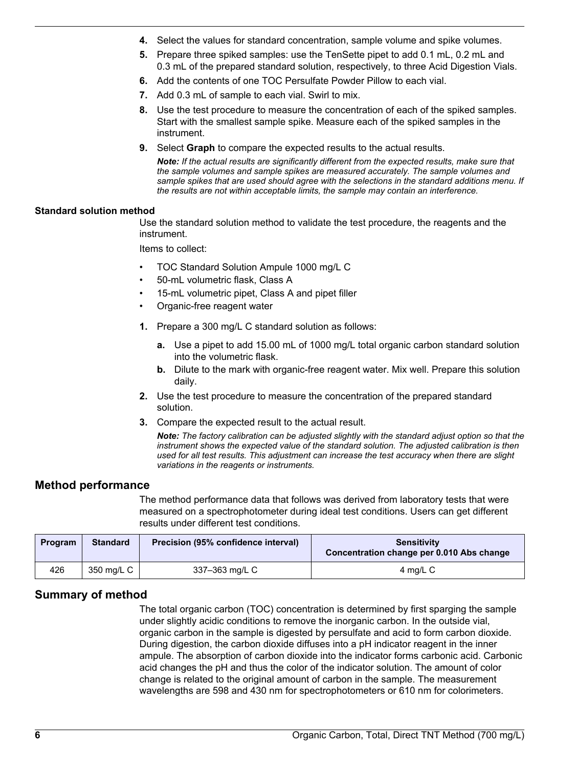- **4.** Select the values for standard concentration, sample volume and spike volumes.
- **5.** Prepare three spiked samples: use the TenSette pipet to add 0.1 mL, 0.2 mL and 0.3 mL of the prepared standard solution, respectively, to three Acid Digestion Vials.
- **6.** Add the contents of one TOC Persulfate Powder Pillow to each vial.
- **7.** Add 0.3 mL of sample to each vial. Swirl to mix.
- **8.** Use the test procedure to measure the concentration of each of the spiked samples. Start with the smallest sample spike. Measure each of the spiked samples in the instrument.
- **9.** Select **Graph** to compare the expected results to the actual results.

*Note: If the actual results are significantly different from the expected results, make sure that the sample volumes and sample spikes are measured accurately. The sample volumes and sample spikes that are used should agree with the selections in the standard additions menu. If the results are not within acceptable limits, the sample may contain an interference.*

#### **Standard solution method**

Use the standard solution method to validate the test procedure, the reagents and the instrument.

Items to collect:

- TOC Standard Solution Ampule 1000 mg/L C
- 50-mL volumetric flask, Class A
- 15-mL volumetric pipet, Class A and pipet filler
- Organic-free reagent water
- **1.** Prepare a 300 mg/L C standard solution as follows:
	- **a.** Use a pipet to add 15.00 mL of 1000 mg/L total organic carbon standard solution into the volumetric flask.
	- **b.** Dilute to the mark with organic-free reagent water. Mix well. Prepare this solution daily.
- **2.** Use the test procedure to measure the concentration of the prepared standard solution.
- **3.** Compare the expected result to the actual result.

*Note: The factory calibration can be adjusted slightly with the standard adjust option so that the instrument shows the expected value of the standard solution. The adjusted calibration is then used for all test results. This adjustment can increase the test accuracy when there are slight variations in the reagents or instruments.*

#### **Method performance**

The method performance data that follows was derived from laboratory tests that were measured on a spectrophotometer during ideal test conditions. Users can get different results under different test conditions.

| Program | <b>Standard</b> | Precision (95% confidence interval) | <b>Sensitivity</b><br><b>Concentration change per 0.010 Abs change</b> |
|---------|-----------------|-------------------------------------|------------------------------------------------------------------------|
| 426     | 350 mg/L C      | 337-363 mg/L C                      | 4 mg/L C                                                               |

#### **Summary of method**

The total organic carbon (TOC) concentration is determined by first sparging the sample under slightly acidic conditions to remove the inorganic carbon. In the outside vial, organic carbon in the sample is digested by persulfate and acid to form carbon dioxide. During digestion, the carbon dioxide diffuses into a pH indicator reagent in the inner ampule. The absorption of carbon dioxide into the indicator forms carbonic acid. Carbonic acid changes the pH and thus the color of the indicator solution. The amount of color change is related to the original amount of carbon in the sample. The measurement wavelengths are 598 and 430 nm for spectrophotometers or 610 nm for colorimeters.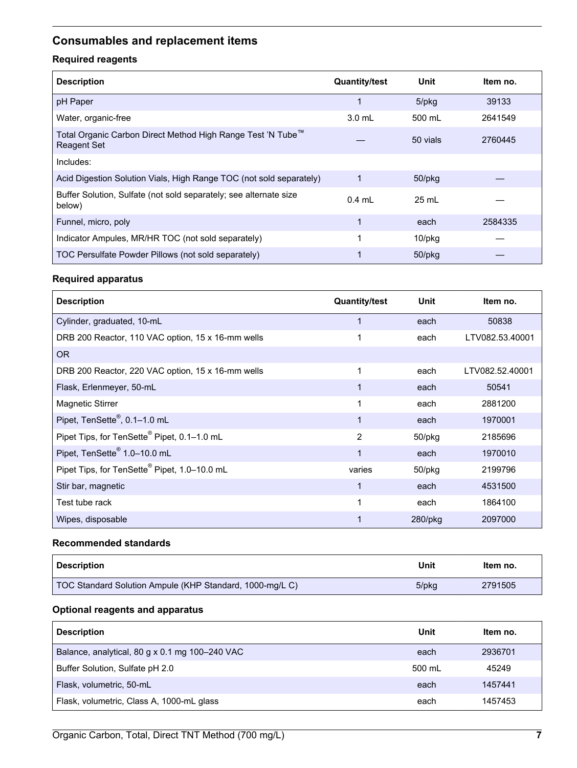# <span id="page-6-0"></span>**Consumables and replacement items**

## **Required reagents**

| <b>Description</b>                                                          | <b>Quantity/test</b> | Unit         | ltem no. |
|-----------------------------------------------------------------------------|----------------------|--------------|----------|
| pH Paper                                                                    | 1                    | 5/pkg        | 39133    |
| Water, organic-free                                                         | $3.0$ mL             | 500 mL       | 2641549  |
| Total Organic Carbon Direct Method High Range Test 'N Tube™<br>Reagent Set  |                      | 50 vials     | 2760445  |
| Includes:                                                                   |                      |              |          |
| Acid Digestion Solution Vials, High Range TOC (not sold separately)         |                      | $50$ /p $kg$ |          |
| Buffer Solution, Sulfate (not sold separately; see alternate size<br>below) | $0.4$ mL             | 25 mL        |          |
| Funnel, micro, poly                                                         | 1                    | each         | 2584335  |
| Indicator Ampules, MR/HR TOC (not sold separately)                          |                      | $10$ /p $kg$ |          |
| TOC Persulfate Powder Pillows (not sold separately)                         |                      | $50$ /p $kg$ |          |

#### **Required apparatus**

| <b>Description</b>                                       | <b>Quantity/test</b> | Unit         | Item no.        |
|----------------------------------------------------------|----------------------|--------------|-----------------|
| Cylinder, graduated, 10-mL                               | 1                    | each         | 50838           |
| DRB 200 Reactor, 110 VAC option, 15 x 16-mm wells        | 1                    | each         | LTV082.53.40001 |
| <b>OR</b>                                                |                      |              |                 |
| DRB 200 Reactor, 220 VAC option, 15 x 16-mm wells        | 1                    | each         | LTV082.52.40001 |
| Flask, Erlenmeyer, 50-mL                                 | 1                    | each         | 50541           |
| <b>Magnetic Stirrer</b>                                  | 1                    | each         | 2881200         |
| Pipet, TenSette <sup>®</sup> , 0.1-1.0 mL                | 1                    | each         | 1970001         |
| Pipet Tips, for TenSette <sup>®</sup> Pipet, 0.1-1.0 mL  | 2                    | 50/pkg       | 2185696         |
| Pipet, TenSette <sup>®</sup> 1.0-10.0 mL                 | 1                    | each         | 1970010         |
| Pipet Tips, for TenSette <sup>®</sup> Pipet, 1.0-10.0 mL | varies               | $50$ /p $kg$ | 2199796         |
| Stir bar, magnetic                                       | 1                    | each         | 4531500         |
| Test tube rack                                           | 1                    | each         | 1864100         |
| Wipes, disposable                                        |                      | $280$ /pkg   | 2097000         |

#### **Recommended standards**

| <b>Description</b>                                       | Unit  | Item no. |
|----------------------------------------------------------|-------|----------|
| TOC Standard Solution Ampule (KHP Standard, 1000-mg/L C) | 5/pkg | 2791505  |

## **Optional reagents and apparatus**

| <b>Description</b>                             | Unit   | Item no. |
|------------------------------------------------|--------|----------|
| Balance, analytical, 80 g x 0.1 mg 100-240 VAC | each   | 2936701  |
| Buffer Solution, Sulfate pH 2.0                | 500 mL | 45249    |
| Flask, volumetric, 50-mL                       | each   | 1457441  |
| Flask, volumetric, Class A, 1000-mL glass      | each   | 1457453  |